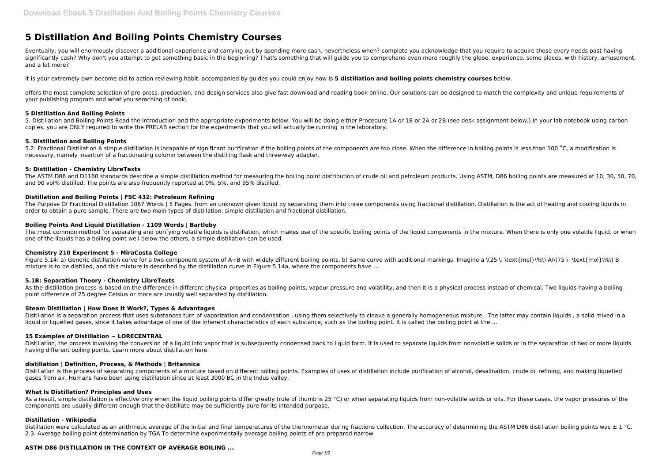# **5 Distillation And Boiling Points Chemistry Courses**

Eventually, you will enormously discover a additional experience and carrying out by spending more cash. nevertheless when? complete you acknowledge that you require to acquire those every needs past having significantly cash? Why don't you attempt to get something basic in the beginning? That's something that will guide you to comprehend even more roughly the globe, experience, some places, with history, amusement, and a lot more?

It is your extremely own become old to action reviewing habit. accompanied by guides you could enjoy now is **5 distillation and boiling points chemistry courses** below.

offers the most complete selection of pre-press, production, and design services also give fast download and reading book online. Our solutions can be designed to match the complexity and unique requirements of your publishing program and what you seraching of book.

5.2: Fractional Distillation A simple distillation is incapable of significant purification if the boiling points of the components are too close. When the difference in boiling points is less than 100 °C, a modification i necessary, namely insertion of a fractionating column between the distilling flask and three-way adapter.

#### **5 Distillation And Boiling Points**

5. Distillation and Boiling Points Read the introduction and the appropriate experiments below. You will be doing either Procedure 1A or 1B or 2A or 2B (see desk assignment below.) In your lab notebook using carbon copies, you are ONLY required to write the PRELAB section for the experiments that you will actually be running in the laboratory.

The Purpose Of Fractional Distillation 1067 Words | 5 Pages. from an unknown given liquid by separating them into three components using fractional distillation. Distillation is the act of heating and cooling liquids in order to obtain a pure sample. There are two main types of distillation: simple distillation and fractional distillation.

## **5. Distillation and Boiling Points**

The most common method for separating and purifying volatile liquids is distillation, which makes use of the specific boiling points of the liquid components in the mixture. When there is only one volatile liquid, or when one of the liquids has a boiling point well below the others, a simple distillation can be used.

Figure 5.14: a) Generic distillation curve for a two-component system of A+B with widely different boiling points, b) Same curve with additional markings. Imagine a \(25 \: \text{mol}\%\) A/\(75 \: \text{mol}\%\) B mixture is to be distilled, and this mixture is described by the distillation curve in Figure 5.14a, where the components have ...

# **5: Distillation - Chemistry LibreTexts**

As the distillation process is based on the difference in different physical properties as boiling points, vapour pressure and volatility, and then it is a physical process instead of chemical. Two liquids having a boiling point difference of 25 degree Celsius or more are usually well separated by distillation.

Distillation is a separation process that uses substances turn of vaporization and condensation , using them selectively to cleave a generally homogeneous mixture . The latter may contain liquids , a solid mixed in a liquid or liquefied gases, since it takes advantage of one of the inherent characteristics of each substance, such as the boiling point. It is called the boiling point at the ...

The ASTM D86 and D1160 standards describe a simple distillation method for measuring the boiling point distribution of crude oil and petroleum products. Using ASTM, D86 boiling points are measured at 10, 30, 50, 70, and 90 vol% distilled. The points are also frequently reported at 0%, 5%, and 95% distilled.

## **Distillation and Boiling Points | FSC 432: Petroleum Refining**

Distillation, the process involving the conversion of a liquid into vapor that is subsequently condensed back to liquid form. It is used to separate liquids from nonvolatile solids or in the separation of two or more liqui having different boiling points. Learn more about distillation here.

## **Boiling Points And Liquid Distillation - 1109 Words | Bartleby**

As a result, simple distillation is effective only when the liquid boiling points differ greatly (rule of thumb is 25 °C) or when separating liquids from non-volatile solids or oils. For these cases, the vapor pressures of components are usually different enough that the distillate may be sufficiently pure for its intended purpose.

distillation were calculated as an arithmetic average of the initial and final temperatures of the thermometer during fractions collection. The accuracy of determining the ASTM D86 distillation boiling points was  $\pm 1$  ° 2.3. Average boiling point determination by TGA To determine experimentally average boiling points of pre-prepared narrow

#### **Chemistry 210 Experiment 5 - MiraCosta College**

#### **5.1B: Separation Theory - Chemistry LibreTexts**

#### **Steam Distillation | How Does It Work?, Types & Advantages**

#### **15 Examples of Distillation ~ LORECENTRAL**

#### **distillation | Definition, Process, & Methods | Britannica**

Distillation is the process of separating components of a mixture based on different boiling points. Examples of uses of distillation include purification of alcohol, desalination, crude oil refining, and making liquefied gases from air. Humans have been using distillation since at least 3000 BC in the Indus valley.

#### **What Is Distillation? Principles and Uses**

#### **Distillation - Wikipedia**

## **ASTM D86 DISTILLATION IN THE CONTEXT OF AVERAGE BOILING ...**